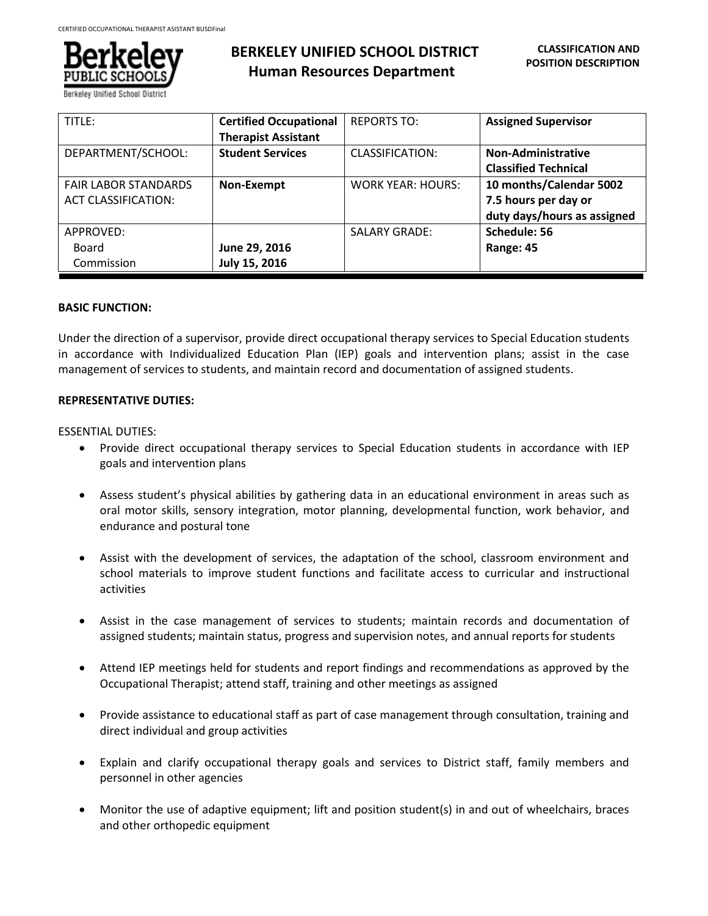

Berkeley Unified School Dis

# **BERKELEY UNIFIED SCHOOL DISTRICT Human Resources Department**

| TITLE:                                                    | <b>Certified Occupational</b><br><b>Therapist Assistant</b> | <b>REPORTS TO:</b>       | <b>Assigned Supervisor</b>                                                     |
|-----------------------------------------------------------|-------------------------------------------------------------|--------------------------|--------------------------------------------------------------------------------|
| DEPARTMENT/SCHOOL:                                        | <b>Student Services</b>                                     | CLASSIFICATION:          | <b>Non-Administrative</b><br><b>Classified Technical</b>                       |
| <b>FAIR LABOR STANDARDS</b><br><b>ACT CLASSIFICATION:</b> | Non-Exempt                                                  | <b>WORK YEAR: HOURS:</b> | 10 months/Calendar 5002<br>7.5 hours per day or<br>duty days/hours as assigned |
| APPROVED:<br>Board<br>Commission                          | June 29, 2016<br>July 15, 2016                              | <b>SALARY GRADE:</b>     | Schedule: 56<br>Range: 45                                                      |

#### **BASIC FUNCTION:**

Under the direction of a supervisor, provide direct occupational therapy services to Special Education students in accordance with Individualized Education Plan (IEP) goals and intervention plans; assist in the case management of services to students, and maintain record and documentation of assigned students.

#### **REPRESENTATIVE DUTIES:**

#### ESSENTIAL DUTIES:

- Provide direct occupational therapy services to Special Education students in accordance with IEP goals and intervention plans
- Assess student's physical abilities by gathering data in an educational environment in areas such as oral motor skills, sensory integration, motor planning, developmental function, work behavior, and endurance and postural tone
- Assist with the development of services, the adaptation of the school, classroom environment and school materials to improve student functions and facilitate access to curricular and instructional activities
- Assist in the case management of services to students; maintain records and documentation of assigned students; maintain status, progress and supervision notes, and annual reports for students
- Attend IEP meetings held for students and report findings and recommendations as approved by the Occupational Therapist; attend staff, training and other meetings as assigned
- Provide assistance to educational staff as part of case management through consultation, training and direct individual and group activities
- Explain and clarify occupational therapy goals and services to District staff, family members and personnel in other agencies
- Monitor the use of adaptive equipment; lift and position student(s) in and out of wheelchairs, braces and other orthopedic equipment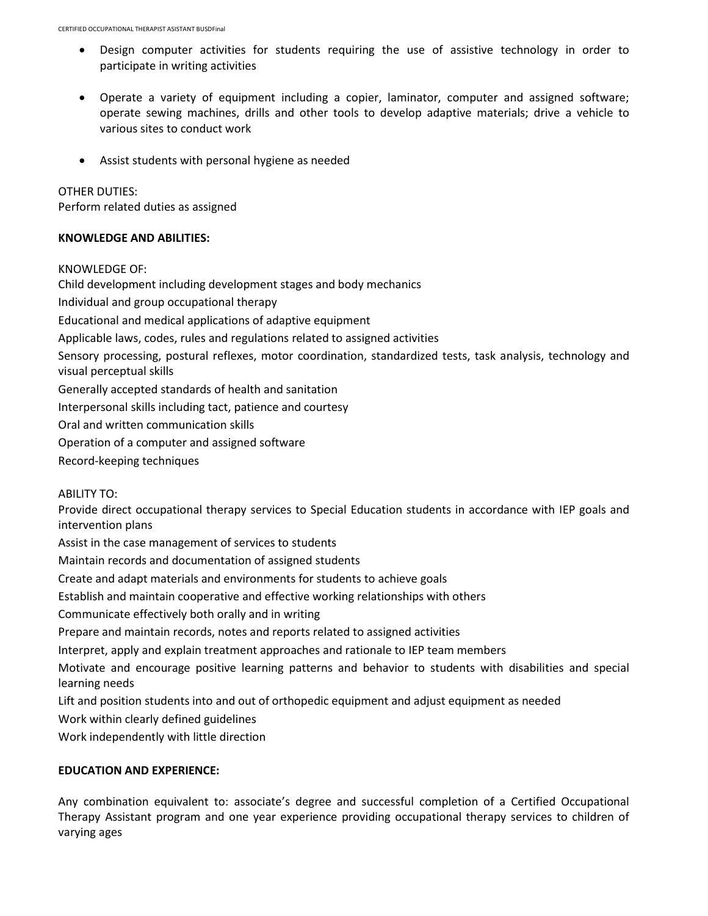- Design computer activities for students requiring the use of assistive technology in order to participate in writing activities
- Operate a variety of equipment including a copier, laminator, computer and assigned software; operate sewing machines, drills and other tools to develop adaptive materials; drive a vehicle to various sites to conduct work
- Assist students with personal hygiene as needed

## OTHER DUTIES:

Perform related duties as assigned

#### **KNOWLEDGE AND ABILITIES:**

#### KNOWLEDGE OF:

Child development including development stages and body mechanics Individual and group occupational therapy Educational and medical applications of adaptive equipment Applicable laws, codes, rules and regulations related to assigned activities Sensory processing, postural reflexes, motor coordination, standardized tests, task analysis, technology and visual perceptual skills Generally accepted standards of health and sanitation Interpersonal skills including tact, patience and courtesy Oral and written communication skills Operation of a computer and assigned software Record-keeping techniques

ABILITY TO:

Provide direct occupational therapy services to Special Education students in accordance with IEP goals and intervention plans

Assist in the case management of services to students

Maintain records and documentation of assigned students

Create and adapt materials and environments for students to achieve goals

Establish and maintain cooperative and effective working relationships with others

Communicate effectively both orally and in writing

Prepare and maintain records, notes and reports related to assigned activities

Interpret, apply and explain treatment approaches and rationale to IEP team members

Motivate and encourage positive learning patterns and behavior to students with disabilities and special learning needs

Lift and position students into and out of orthopedic equipment and adjust equipment as needed

Work within clearly defined guidelines

Work independently with little direction

## **EDUCATION AND EXPERIENCE:**

Any combination equivalent to: associate's degree and successful completion of a Certified Occupational Therapy Assistant program and one year experience providing occupational therapy services to children of varying ages